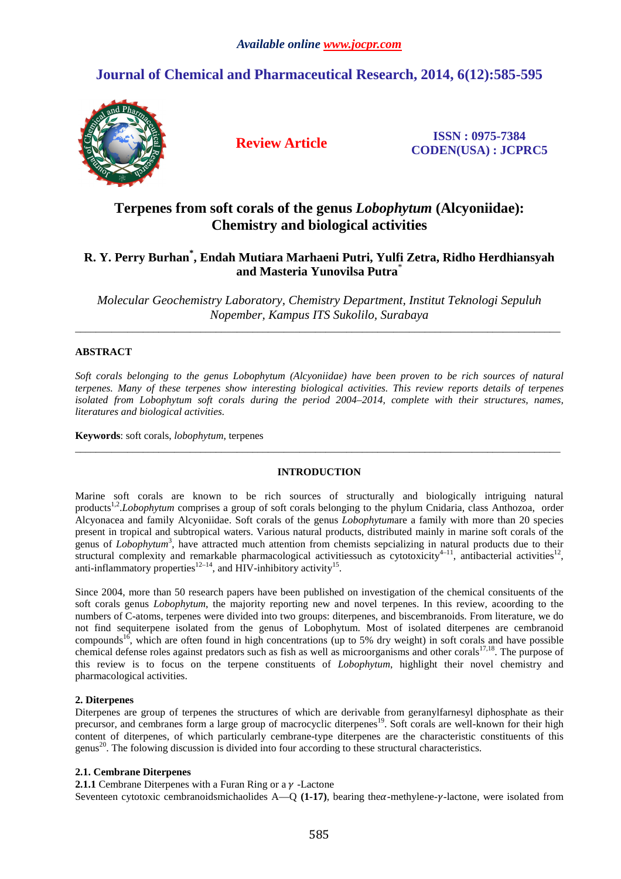# **Journal of Chemical and Pharmaceutical Research, 2014, 6(12):585-595**



**Review Article ISSN : 0975-7384 CODEN(USA) : JCPRC5**

# **Terpenes from soft corals of the genus** *Lobophytum* **(Alcyoniidae): Chemistry and biological activities**

# **R. Y. Perry Burhan\* , Endah Mutiara Marhaeni Putri, Yulfi Zetra, Ridho Herdhiansyah and Masteria Yunovilsa Putra**\*

*Molecular Geochemistry Laboratory, Chemistry Department, Institut Teknologi Sepuluh Nopember, Kampus ITS Sukolilo, Surabaya* 

 $\overline{a}$  , and the contribution of the contribution of the contribution of the contribution of the contribution of the contribution of the contribution of the contribution of the contribution of the contribution of the co

# **ABSTRACT**

*Soft corals belonging to the genus Lobophytum (Alcyoniidae) have been proven to be rich sources of natural terpenes. Many of these terpenes show interesting biological activities. This review reports details of terpenes*  isolated from Lobophytum soft corals during the period 2004–2014, complete with their structures, names, *literatures and biological activities.* 

**Keywords**: soft corals, *lobophytum*, terpenes

# **INTRODUCTION**

 $\overline{a}$  , and the contribution of the contribution of the contribution of the contribution of the contribution of the contribution of the contribution of the contribution of the contribution of the contribution of the co

Marine soft corals are known to be rich sources of structurally and biologically intriguing natural products<sup>1,2</sup>.*Lobophytum* comprises a group of soft corals belonging to the phylum Cnidaria, class Anthozoa, order Alcyonacea and family Alcyoniidae. Soft corals of the genus *Lobophytum*are a family with more than 20 species present in tropical and subtropical waters. Various natural products, distributed mainly in marine soft corals of the genus of *Lobophytum*<sup>3</sup> , have attracted much attention from chemists sepcializing in natural products due to their structural complexity and remarkable pharmacological activitiessuch as cytotoxicity<sup>4-11</sup>, antibacterial activities<sup>12</sup>, anti-inflammatory properties  $12-14$ , and HIV-inhibitory activity  $15$ .

Since 2004, more than 50 research papers have been published on investigation of the chemical consituents of the soft corals genus *Lobophytum*, the majority reporting new and novel terpenes. In this review, acoording to the numbers of C-atoms, terpenes were divided into two groups: diterpenes, and biscembranoids. From literature, we do not find sequiterpene isolated from the genus of Lobophytum. Most of isolated diterpenes are cembranoid compounds<sup>16</sup>, which are often found in high concentrations (up to 5% dry weight) in soft corals and have possible chemical defense roles against predators such as fish as well as microorganisms and other corals<sup>17,18</sup>. The purpose of this review is to focus on the terpene constituents of *Lobophytum*, highlight their novel chemistry and pharmacological activities.

# **2. Diterpenes**

Diterpenes are group of terpenes the structures of which are derivable from geranylfarnesyl diphosphate as their precursor, and cembranes form a large group of macrocyclic diterpenes<sup>19</sup>. Soft corals are well-known for their high content of diterpenes, of which particularly cembrane-type diterpenes are the characteristic constituents of this genus<sup>20</sup>. The folowing discussion is divided into four according to these structural characteristics.

# **2.1. Cembrane Diterpenes**

**2.1.1** Cembrane Diterpenes with a Furan Ring or a  $\gamma$ -Lactone

Seventeen cytotoxic cembranoidsmichaolides  $A$ —Q (1-17), bearing the $\alpha$ -methylene- $\gamma$ -lactone, were isolated from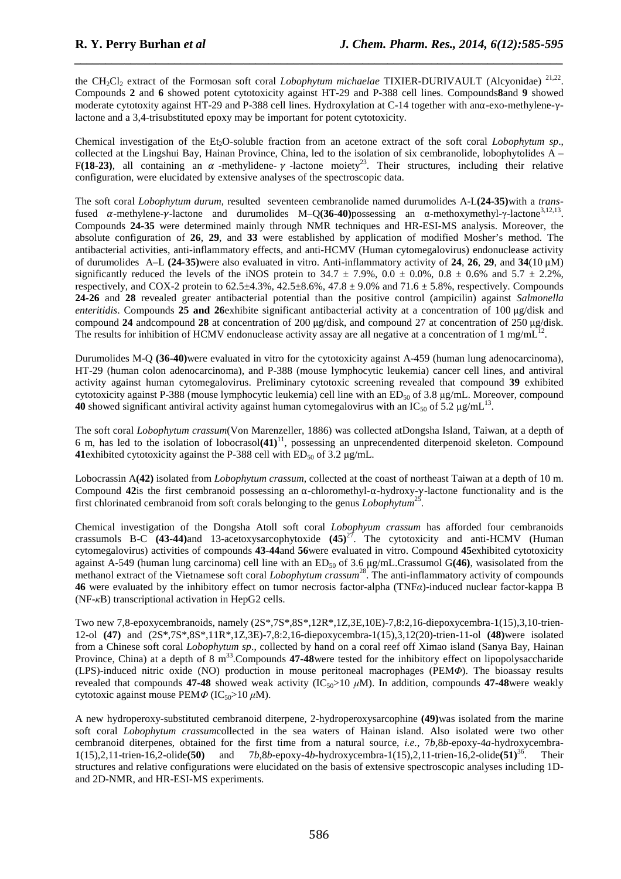the CH<sub>2</sub>Cl<sub>2</sub> extract of the Formosan soft coral *Lobophytum michaelae* TIXIER-DURIVAULT (Alcyonidae)<sup>21,22</sup>. Compounds **2** and **6** showed potent cytotoxicity against HT-29 and P-388 cell lines. Compounds**8**and **9** showed moderate cytotoxity against HT-29 and P-388 cell lines. Hydroxylation at C-14 together with anα-exo-methylene-γlactone and a 3,4-trisubstituted epoxy may be important for potent cytotoxicity.

*\_\_\_\_\_\_\_\_\_\_\_\_\_\_\_\_\_\_\_\_\_\_\_\_\_\_\_\_\_\_\_\_\_\_\_\_\_\_\_\_\_\_\_\_\_\_\_\_\_\_\_\_\_\_\_\_\_\_\_\_\_\_\_\_\_\_\_\_\_\_\_\_\_\_\_\_\_\_*

Chemical investigation of the Et2O-soluble fraction from an acetone extract of the soft coral *Lobophytum sp*., collected at the Lingshui Bay, Hainan Province, China, led to the isolation of six cembranolide, lobophytolides A – F(18-23), all containing an  $\alpha$ -methylidene-  $\gamma$ -lactone moiety<sup>23</sup>. Their structures, including their relative configuration, were elucidated by extensive analyses of the spectroscopic data.

The soft coral *Lobophytum durum*, resulted seventeen cembranolide named durumolides A-L**(24-35)**with a *trans*fused  $\alpha$ -methylene-γ-lactone and durumolides M–Q**(36-40**) possessing an  $\alpha$ -methoxymethyl-γ-lactone<sup>3,12,13</sup>. Compounds **24-35** were determined mainly through NMR techniques and HR-ESI-MS analysis. Moreover, the absolute configuration of **26**, **29**, and **33** were established by application of modified Mosher's method. The antibacterial activities, anti-inflammatory effects, and anti-HCMV (Human cytomegalovirus) endonuclease activity of durumolides A–L **(24-35)**were also evaluated in vitro. Anti-inflammatory activity of **24**, **26**, **29**, and **34**(10 μM) significantly reduced the levels of the iNOS protein to  $34.7 \pm 7.9\%$ ,  $0.0 \pm 0.0\%$ ,  $0.8 \pm 0.6\%$  and  $5.7 \pm 2.2\%$ , respectively, and COX-2 protein to  $62.5\pm4.3\%$ ,  $42.5\pm8.6\%$ ,  $47.8\pm9.0\%$  and  $71.6\pm5.8\%$ , respectively. Compounds **24-26** and **28** revealed greater antibacterial potential than the positive control (ampicilin) against *Salmonella enteritidis*. Compounds **25 and 26**exhibite significant antibacterial activity at a concentration of 100 μg/disk and compound **24** andcompound **28** at concentration of 200 μg/disk, and compound 27 at concentration of 250 μg/disk. The results for inhibition of HCMV endonuclease activity assay are all negative at a concentration of 1 mg/mL $^{12}$ .

Durumolides M-Q **(36-40)**were evaluated in vitro for the cytotoxicity against A-459 (human lung adenocarcinoma), HT-29 (human colon adenocarcinoma), and P-388 (mouse lymphocytic leukemia) cancer cell lines, and antiviral activity against human cytomegalovirus. Preliminary cytotoxic screening revealed that compound **39** exhibited cytotoxicity against P-388 (mouse lymphocytic leukemia) cell line with an  $ED_{50}$  of 3.8  $\mu$ g/mL. Moreover, compound **40** showed significant antiviral activity against human cytomegalovirus with an IC<sub>50</sub> of 5.2  $\mu$ g/mL<sup>13</sup>.

The soft coral *Lobophytum crassum*(Von Marenzeller, 1886) was collected atDongsha Island, Taiwan, at a depth of 6 m, has led to the isolation of lobocrasol**(41)**<sup>11</sup>, possessing an unprecendented diterpenoid skeleton. Compound **41**exhibited cytotoxicity against the P-388 cell with  $ED_{50}$  of 3.2  $\mu$ g/mL.

Lobocrassin A**(42)** isolated from *Lobophytum crassum*, collected at the coast of northeast Taiwan at a depth of 10 m. Compound **42**is the first cembranoid possessing an α-chloromethyl-α-hydroxy-γ-lactone functionality and is the first chlorinated cembranoid from soft corals belonging to the genus *Lobophytum*<sup>2</sup> .

Chemical investigation of the Dongsha Atoll soft coral *Lobophyum crassum* has afforded four cembranoids crassumols B-C **(43-44)**and 13-acetoxysarcophytoxide **(45)**<sup>27</sup>. The cytotoxicity and anti-HCMV (Human cytomegalovirus) activities of compounds **43-44**and **56**were evaluated in vitro. Compound **45**exhibited cytotoxicity against A-549 (human lung carcinoma) cell line with an ED<sub>50</sub> of 3.6 µg/mL.Crassumol G(46), wasisolated from the methanol extract of the Vietnamese soft coral *Lobophytum crassum*<sup>28</sup>. The anti-inflammatory activity of compounds **46** were evaluated by the inhibitory effect on tumor necrosis factor-alpha (TNF*α*)-induced nuclear factor-kappa B (NF-*κ*B) transcriptional activation in HepG2 cells.

Two new 7,8-epoxycembranoids, namely (2S\*,7S\*,8S\*,12R\*,1Z,3E,10E)-7,8:2,16-diepoxycembra-1(15),3,10-trien-12-ol **(47)** and (2S\*,7S\*,8S\*,11R\*,1Z,3E)-7,8:2,16-diepoxycembra-1(15),3,12(20)-trien-11-ol **(48)**were isolated from a Chinese soft coral *Lobophytum sp*., collected by hand on a coral reef off Ximao island (Sanya Bay, Hainan Province, China) at a depth of 8 m<sup>33</sup>.Compounds 47-48 were tested for the inhibitory effect on lipopolysaccharide (LPS)-induced nitric oxide (NO) production in mouse peritoneal macrophages (PEM*Φ*). The bioassay results revealed that compounds **47-48** showed weak activity  $(IC_{50} > 10 \mu M)$ . In addition, compounds **47-48**were weakly cytotoxic against mouse PEM*Φ* (IC50>10 *µ*M).

A new hydroperoxy-substituted cembranoid diterpene, 2-hydroperoxysarcophine **(49)**was isolated from the marine soft coral *Lobophytum crassum*collected in the sea waters of Hainan island. Also isolated were two other cembranoid diterpenes, obtained for the first time from a natural source, *i.e.*, 7*b*,8*b*-epoxy-4*a*-hydroxycembra-1(15),2,11-trien-16,2-olide**(50)** and 7*b*,8*b*-epoxy-4*b*-hydroxycembra-1(15),2,11-trien-16,2-olide**(51)**<sup>36</sup>. Their structures and relative configurations were elucidated on the basis of extensive spectroscopic analyses including 1Dand 2D-NMR, and HR-ESI-MS experiments.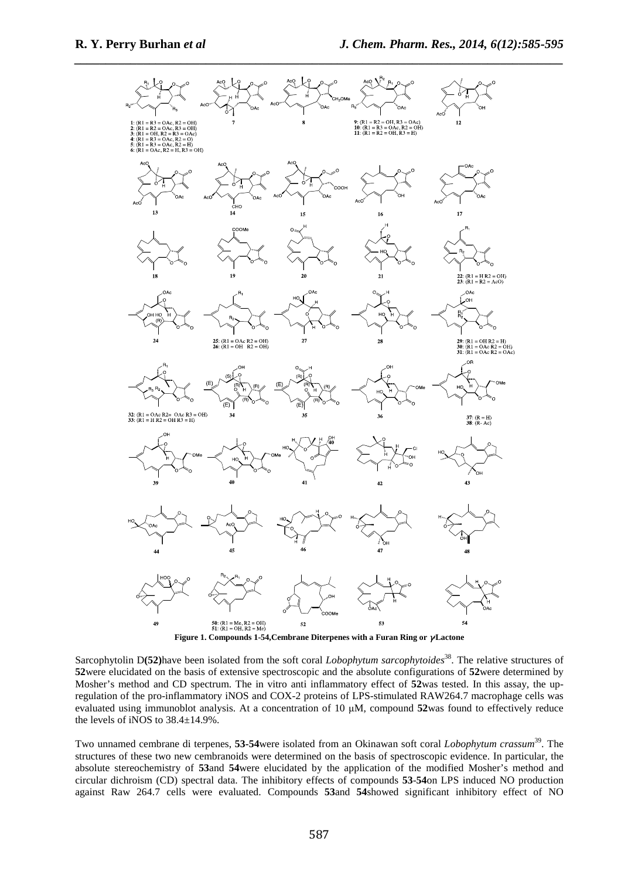

Sarcophytolin D(52)have been isolated from the soft coral *Lobophytum sarcophytoides*<sup>38</sup>. The relative structures of **52**were elucidated on the basis of extensive spectroscopic and the absolute configurations of **52**were determined by Mosher's method and CD spectrum. The in vitro anti inflammatory effect of **52**was tested. In this assay, the upregulation of the pro-inflammatory iNOS and COX-2 proteins of LPS-stimulated RAW264.7 macrophage cells was evaluated using immunoblot analysis. At a concentration of 10 µM, compound **52**was found to effectively reduce the levels of iNOS to 38.4±14.9%.

Two unnamed cembrane di terpenes, **53-54**were isolated from an Okinawan soft coral *Lobophytum crassum*<sup>39</sup>. The structures of these two new cembranoids were determined on the basis of spectroscopic evidence. In particular, the absolute stereochemistry of **53**and **54**were elucidated by the application of the modified Mosher's method and circular dichroism (CD) spectral data. The inhibitory effects of compounds **53**-**54**on LPS induced NO production against Raw 264.7 cells were evaluated. Compounds **53**and **54**showed significant inhibitory effect of NO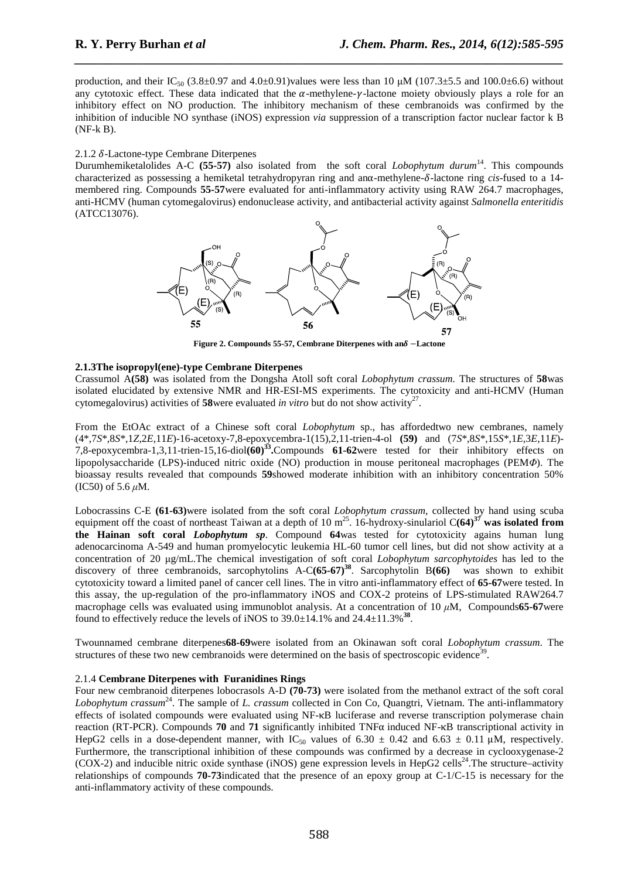production, and their IC<sub>50</sub> (3.8 $\pm$ 0.97 and 4.0 $\pm$ 0.91)values were less than 10  $\mu$ M (107.3 $\pm$ 5.5 and 100.0 $\pm$ 6.6) without any cytotoxic effect. These data indicated that the  $\alpha$ -methylene- $\gamma$ -lactone moiety obviously plays a role for an inhibitory effect on NO production. The inhibitory mechanism of these cembranoids was confirmed by the inhibition of inducible NO synthase (iNOS) expression *via* suppression of a transcription factor nuclear factor k B (NF-k B).

*\_\_\_\_\_\_\_\_\_\_\_\_\_\_\_\_\_\_\_\_\_\_\_\_\_\_\_\_\_\_\_\_\_\_\_\_\_\_\_\_\_\_\_\_\_\_\_\_\_\_\_\_\_\_\_\_\_\_\_\_\_\_\_\_\_\_\_\_\_\_\_\_\_\_\_\_\_\_*

#### $2.1.2$   $\delta$ -Lactone-type Cembrane Diterpenes

Durumhemiketalolides A-C **(55-57)** also isolated from the soft coral *Lobophytum durum*<sup>14</sup>. This compounds characterized as possessing a hemiketal tetrahydropyran ring and anα-methylene-δ-lactone ring *cis*-fused to a 14membered ring. Compounds **55-57**were evaluated for anti-inflammatory activity using RAW 264.7 macrophages, anti-HCMV (human cytomegalovirus) endonuclease activity, and antibacterial activity against *Salmonella enteritidis*  (ATCC13076).



**Figure 2. Compounds 55-57, Cembrane Diterpenes with an** −**Lactone** 

#### **2.1.3The isopropyl(ene)-type Cembrane Diterpenes**

Crassumol A**(58)** was isolated from the Dongsha Atoll soft coral *Lobophytum crassum.* The structures of **58**was isolated elucidated by extensive NMR and HR-ESI-MS experiments. The cytotoxicity and anti-HCMV (Human cytomegalovirus) activities of 58 were evaluated *in vitro* but do not show activity<sup>27</sup>.

From the EtOAc extract of a Chinese soft coral *Lobophytum* sp., has affordedtwo new cembranes, namely (4\*,7*S*\*,8*S*\*,1*Z*,2*E*,11*E*)-16-acetoxy-7,8-epoxycembra-1(15),2,11-trien-4-ol **(59)** and (7*S*\*,8*S*\*,15*S*\*,1*E*,3*E*,11*E*)- 7,8-epoxycembra-1,3,11-trien-15,16-diol**(60)<sup>33</sup> .**Compounds **61-62**were tested for their inhibitory effects on lipopolysaccharide (LPS)-induced nitric oxide (NO) production in mouse peritoneal macrophages (PEM*Φ*). The bioassay results revealed that compounds **59**showed moderate inhibition with an inhibitory concentration 50% (IC50) of 5.6 *µ*M.

Lobocrassins C-E **(61-63)**were isolated from the soft coral *Lobophytum crassum*, collected by hand using scuba equipment off the coast of northeast Taiwan at a depth of 10  $m^{25}$ . 16-hydroxy-sinulariol C(64)<sup>37</sup> **was isolated from the Hainan soft coral** *Lobophytum sp*. Compound **64**was tested for cytotoxicity agains human lung adenocarcinoma A-549 and human promyelocytic leukemia HL-60 tumor cell lines, but did not show activity at a concentration of 20 µg/mL.The chemical investigation of soft coral *Lobophytum sarcophytoides* has led to the discovery of three cembranoids, sarcophytolins A-C**(65-67)<sup>38</sup>**. Sarcophytolin B**(66)** was shown to exhibit cytotoxicity toward a limited panel of cancer cell lines. The in vitro anti-inflammatory effect of **65-67**were tested. In this assay, the up-regulation of the pro-inflammatory iNOS and COX-2 proteins of LPS-stimulated RAW264.7 macrophage cells was evaluated using immunoblot analysis. At a concentration of 10 *µ*M, Compounds**65-67**were found to effectively reduce the levels of iNOS to  $39.0 \pm 14.1$ % and  $24.4 \pm 11.3$ %<sup>38</sup>.

Twounnamed cembrane diterpenes**68-69**were isolated from an Okinawan soft coral *Lobophytum crassum*. The structures of these two new cembranoids were determined on the basis of spectroscopic evidence<sup>39</sup>.

#### 2.1.4 **Cembrane Diterpenes with Furanidines Rings**

Four new cembranoid diterpenes lobocrasols A-D **(70-73)** were isolated from the methanol extract of the soft coral *Lobophytum crassum*<sup>24</sup>. The sample of *L. crassum* collected in Con Co, Quangtri, Vietnam. The anti-inflammatory effects of isolated compounds were evaluated using NF-κB luciferase and reverse transcription polymerase chain reaction (RT-PCR). Compounds **70** and **71** significantly inhibited TNFα induced NF-κB transcriptional activity in HepG2 cells in a dose-dependent manner, with IC<sub>50</sub> values of 6.30  $\pm$  0.42 and 6.63  $\pm$  0.11 µM, respectively. Furthermore, the transcriptional inhibition of these compounds was confirmed by a decrease in cyclooxygenase-2  $(COX-2)$  and inducible nitric oxide synthase (iNOS) gene expression levels in HepG2 cells<sup>24</sup>. The structure–activity relationships of compounds **70-73**indicated that the presence of an epoxy group at C-1/C-15 is necessary for the anti-inflammatory activity of these compounds.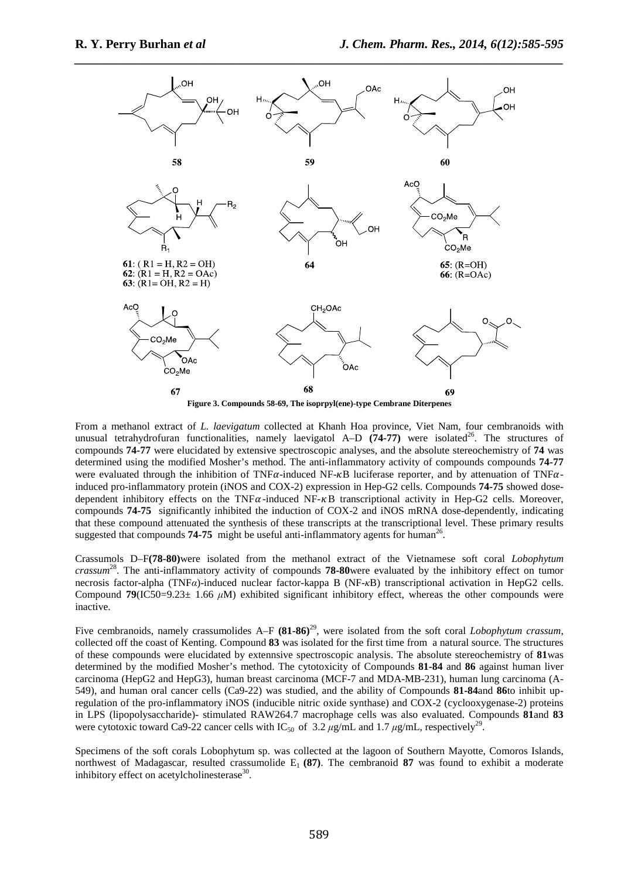

*\_\_\_\_\_\_\_\_\_\_\_\_\_\_\_\_\_\_\_\_\_\_\_\_\_\_\_\_\_\_\_\_\_\_\_\_\_\_\_\_\_\_\_\_\_\_\_\_\_\_\_\_\_\_\_\_\_\_\_\_\_\_\_\_\_\_\_\_\_\_\_\_\_\_\_\_\_\_*

**Figure 3. Compounds 58-69, The isoprpyl(ene)-type Cembrane Diterpenes** 

From a methanol extract of *L. laevigatum* collected at Khanh Hoa province, Viet Nam, four cembranoids with unusual tetrahydrofuran functionalities, namely laevigatol A–D  $(74-77)$  were isolated<sup>26</sup>. The structures of compounds **74-77** were elucidated by extensive spectroscopic analyses, and the absolute stereochemistry of **74** was determined using the modified Mosher's method. The anti-inflammatory activity of compounds compounds **74-77** were evaluated through the inhibition of TNF $\alpha$ -induced NF- $\kappa$ B luciferase reporter, and by attenuation of TNF $\alpha$ induced pro-inflammatory protein (iNOS and COX-2) expression in Hep-G2 cells. Compounds **74-75** showed dosedependent inhibitory effects on the  $TNF\alpha$ -induced  $NF\kappa B$  transcriptional activity in Hep-G2 cells. Moreover, compounds **74-75** significantly inhibited the induction of COX-2 and iNOS mRNA dose-dependently, indicating that these compound attenuated the synthesis of these transcripts at the transcriptional level. These primary results suggested that compounds **74-75** might be useful anti-inflammatory agents for human<sup>26</sup>.

Crassumols D–F**(78-80)**were isolated from the methanol extract of the Vietnamese soft coral *Lobophytum crassum* <sup>28</sup>. The anti-inflammatory activity of compounds **78-80**were evaluated by the inhibitory effect on tumor necrosis factor-alpha (TNF*α*)-induced nuclear factor-kappa B (NF-*κ*B) transcriptional activation in HepG2 cells. Compound **79**(IC50=9.23 $\pm$  1.66  $\mu$ M) exhibited significant inhibitory effect, whereas the other compounds were inactive.

Five cembranoids, namely crassumolides A–F  $(81-86)^{29}$ , were isolated from the soft coral *Lobophytum crassum*, collected off the coast of Kenting. Compound **83** was isolated for the first time from a natural source. The structures of these compounds were elucidated by extennsive spectroscopic analysis. The absolute stereochemistry of **81**was determined by the modified Mosher's method. The cytotoxicity of Compounds **81-84** and **86** against human liver carcinoma (HepG2 and HepG3), human breast carcinoma (MCF-7 and MDA-MB-231), human lung carcinoma (A-549), and human oral cancer cells (Ca9-22) was studied, and the ability of Compounds **81-84**and **86**to inhibit upregulation of the pro-inflammatory iNOS (inducible nitric oxide synthase) and COX-2 (cyclooxygenase-2) proteins in LPS (lipopolysaccharide)- stimulated RAW264.7 macrophage cells was also evaluated. Compounds **81**and **83** were cytotoxic toward Ca9-22 cancer cells with IC<sub>50</sub> of 3.2  $\mu$ g/mL and 1.7  $\mu$ g/mL, respectively<sup>29</sup>.

Specimens of the soft corals Lobophytum sp. was collected at the lagoon of Southern Mayotte, Comoros Islands, northwest of Madagascar, resulted crassumolide  $E_1$  (87). The cembranoid 87 was found to exhibit a moderate inhibitory effect on acetylcholinesterase $30$ .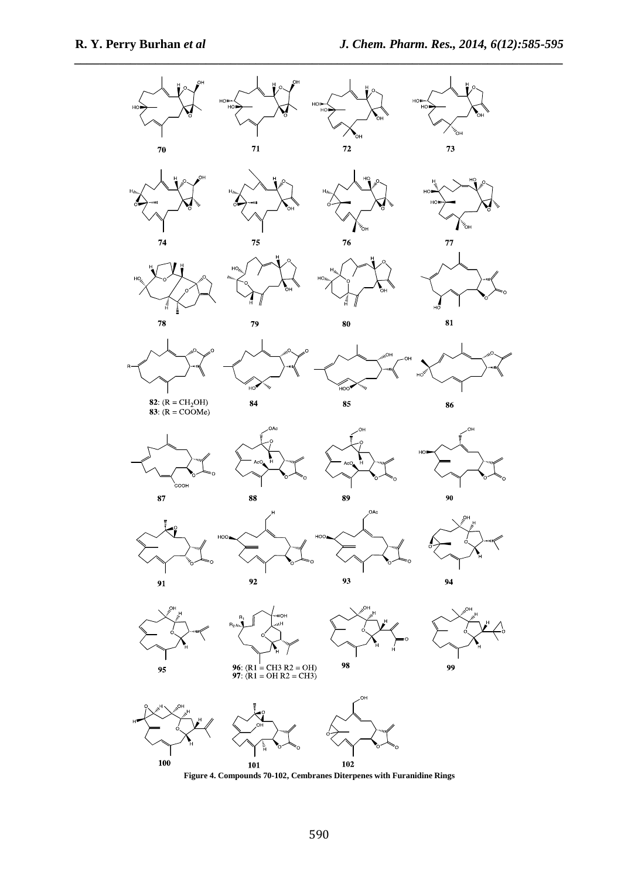

**Figure 4. Compounds 70-102, Cembranes Diterpenes with Furanidine Rings** 

101

102

 $100$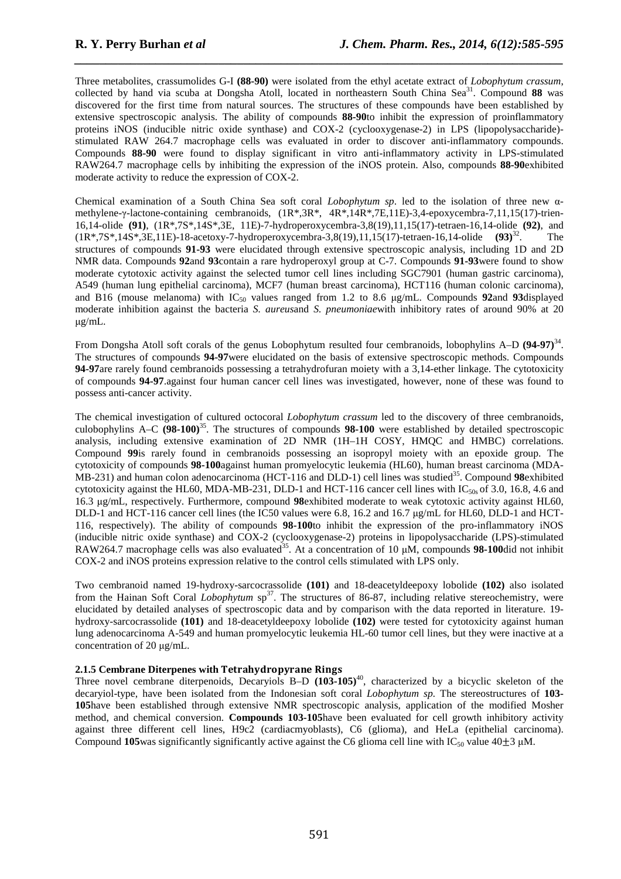Three metabolites, crassumolides G-I **(88-90)** were isolated from the ethyl acetate extract of *Lobophytum crassum*, collected by hand via scuba at Dongsha Atoll, located in northeastern South China Sea<sup>31</sup>. Compound 88 was discovered for the first time from natural sources. The structures of these compounds have been established by extensive spectroscopic analysis. The ability of compounds **88-90**to inhibit the expression of proinflammatory proteins iNOS (inducible nitric oxide synthase) and COX-2 (cyclooxygenase-2) in LPS (lipopolysaccharide) stimulated RAW 264.7 macrophage cells was evaluated in order to discover anti-inflammatory compounds. Compounds **88-90** were found to display significant in vitro anti-inflammatory activity in LPS-stimulated RAW264.7 macrophage cells by inhibiting the expression of the iNOS protein. Also, compounds **88-90**exhibited moderate activity to reduce the expression of COX-2.

*\_\_\_\_\_\_\_\_\_\_\_\_\_\_\_\_\_\_\_\_\_\_\_\_\_\_\_\_\_\_\_\_\_\_\_\_\_\_\_\_\_\_\_\_\_\_\_\_\_\_\_\_\_\_\_\_\_\_\_\_\_\_\_\_\_\_\_\_\_\_\_\_\_\_\_\_\_\_*

Chemical examination of a South China Sea soft coral *Lobophytum sp*. led to the isolation of three new αmethylene-γ-lactone-containing cembranoids, (1R\*,3R\*, 4R\*,14R\*,7E,11E)-3,4-epoxycembra-7,11,15(17)-trien-16,14-olide **(91)**, (1R\*,7S\*,14S\*,3E, 11E)-7-hydroperoxycembra-3,8(19),11,15(17)-tetraen-16,14-olide **(92)**, and (1R\*,7S\*,14S\*,3E,11E)-18-acetoxy-7-hydroperoxycembra-3,8(19),11,15(17)-tetraen-16,14-olide **(93)**<sup>32</sup>. The structures of compounds **91-93** were elucidated through extensive spectroscopic analysis, including 1D and 2D NMR data. Compounds **92**and **93**contain a rare hydroperoxyl group at C-7. Compounds **91-93**were found to show moderate cytotoxic activity against the selected tumor cell lines including SGC7901 (human gastric carcinoma), A549 (human lung epithelial carcinoma), MCF7 (human breast carcinoma), HCT116 (human colonic carcinoma), and B16 (mouse melanoma) with IC<sub>50</sub> values ranged from 1.2 to 8.6 µg/mL. Compounds 92and 93displayed moderate inhibition against the bacteria *S. aureus*and *S. pneumoniae*with inhibitory rates of around 90% at 20 µg/mL.

From Dongsha Atoll soft corals of the genus Lobophytum resulted four cembranoids, lobophylins A–D **(94-97)**<sup>34</sup>. The structures of compounds **94-97**were elucidated on the basis of extensive spectroscopic methods. Compounds **94-97**are rarely found cembranoids possessing a tetrahydrofuran moiety with a 3,14-ether linkage. The cytotoxicity of compounds **94-97**.against four human cancer cell lines was investigated, however, none of these was found to possess anti-cancer activity.

The chemical investigation of cultured octocoral *Lobophytum crassum* led to the discovery of three cembranoids, culobophylins A–C **(98-100)**<sup>35</sup>. The structures of compounds **98-100** were established by detailed spectroscopic analysis, including extensive examination of 2D NMR (1H–1H COSY, HMQC and HMBC) correlations. Compound **99**is rarely found in cembranoids possessing an isopropyl moiety with an epoxide group. The cytotoxicity of compounds **98-100**against human promyelocytic leukemia (HL60), human breast carcinoma (MDA-MB-231) and human colon adenocarcinoma (HCT-116 and DLD-1) cell lines was studied<sup>35</sup>. Compound **98**exhibited cytotoxicity against the HL60, MDA-MB-231, DLD-1 and HCT-116 cancer cell lines with IC<sub>50s</sub> of 3.0, 16.8, 4.6 and 16.3 µg/mL, respectively. Furthermore, compound **98**exhibited moderate to weak cytotoxic activity against HL60, DLD-1 and HCT-116 cancer cell lines (the IC50 values were 6.8, 16.2 and 16.7 µg/mL for HL60, DLD-1 and HCT-116, respectively). The ability of compounds **98-100**to inhibit the expression of the pro-inflammatory iNOS (inducible nitric oxide synthase) and COX-2 (cyclooxygenase-2) proteins in lipopolysaccharide (LPS)-stimulated RAW264.7 macrophage cells was also evaluated<sup>35</sup>. At a concentration of 10  $\mu$ M, compounds **98-100**did not inhibit COX-2 and iNOS proteins expression relative to the control cells stimulated with LPS only.

Two cembranoid named 19-hydroxy-sarcocrassolide **(101)** and 18-deacetyldeepoxy lobolide **(102)** also isolated from the Hainan Soft Coral *Lobophytum* sp<sup>37</sup>. The structures of 86-87, including relative stereochemistry, were elucidated by detailed analyses of spectroscopic data and by comparison with the data reported in literature. 19 hydroxy-sarcocrassolide **(101)** and 18-deacetyldeepoxy lobolide **(102)** were tested for cytotoxicity against human lung adenocarcinoma A-549 and human promyelocytic leukemia HL-60 tumor cell lines, but they were inactive at a concentration of 20 µg/mL.

# **2.1.5 Cembrane Diterpenes with**

Three novel cembrane diterpenoids, Decaryiols B–D **(103-105)**<sup>40</sup>, characterized by a bicyclic skeleton of the decaryiol-type, have been isolated from the Indonesian soft coral *Lobophytum sp.* The stereostructures of **103- 105**have been established through extensive NMR spectroscopic analysis, application of the modified Mosher method, and chemical conversion. **Compounds 103-105**have been evaluated for cell growth inhibitory activity against three different cell lines, H9c2 (cardiacmyoblasts), C6 (glioma), and HeLa (epithelial carcinoma). Compound 105was significantly significantly active against the C6 glioma cell line with  $IC_{50}$  value 40+3  $\mu$ M.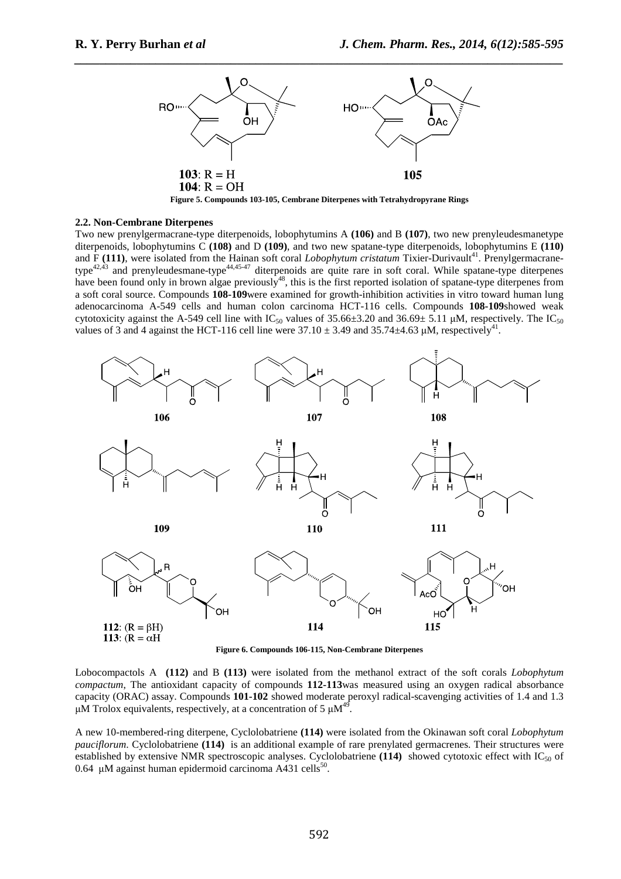

*\_\_\_\_\_\_\_\_\_\_\_\_\_\_\_\_\_\_\_\_\_\_\_\_\_\_\_\_\_\_\_\_\_\_\_\_\_\_\_\_\_\_\_\_\_\_\_\_\_\_\_\_\_\_\_\_\_\_\_\_\_\_\_\_\_\_\_\_\_\_\_\_\_\_\_\_\_\_*

**Figure 5. Compounds 103-105, Cembrane Diterpenes with Tetrahydropyrane Rings** 

#### **2.2. Non-Cembrane Diterpenes**

Two new prenylgermacrane-type diterpenoids, lobophytumins A **(106)** and B **(107)**, two new prenyleudesmanetype diterpenoids, lobophytumins C **(108)** and D **(109)**, and two new spatane-type diterpenoids, lobophytumins E **(110)**  and F (111), were isolated from the Hainan soft coral *Lobophytum cristatum* Tixier-Durivault<sup>41</sup>. Prenylgermacranetype<sup>42,43</sup> and prenyleudesmane-type<sup>44,45-47</sup> diterpenoids are quite rare in soft coral. While spatane-type diterpenes have been found only in brown algae previously<sup>48</sup>, this is the first reported isolation of spatane-type diterpenes from a soft coral source. Compounds **108-109**were examined for growth-inhibition activities in vitro toward human lung adenocarcinoma A-549 cells and human colon carcinoma HCT-116 cells. Compounds **108-109**showed weak cytotoxicity against the A-549 cell line with IC<sub>50</sub> values of 35.66±3.20 and 36.69± 5.11 µM, respectively. The IC<sub>50</sub> values of 3 and 4 against the HCT-116 cell line were  $37.10 \pm 3.49$  and  $35.74 \pm 4.63$  µM, respectively<sup>41</sup>.



**Figure 6. Compounds 106-115, Non-Cembrane Diterpenes** 

Lobocompactols A **(112)** and B **(113)** were isolated from the methanol extract of the soft corals *Lobophytum compactum*, The antioxidant capacity of compounds **112-113**was measured using an oxygen radical absorbance capacity (ORAC) assay. Compounds **101-102** showed moderate peroxyl radical-scavenging activities of 1.4 and 1.3  $\mu\rm\bar{M}$  Trolox equivalents, respectively, at a concentration of 5  $\mu\rm\bar{M}^{49}$ .

A new 10-membered-ring diterpene, Cyclolobatriene **(114)** were isolated from the Okinawan soft coral *Lobophytum pauciflorum*. Cyclolobatriene **(114)** is an additional example of rare prenylated germacrenes. Their structures were established by extensive NMR spectroscopic analyses. Cyclolobatriene (114) showed cytotoxic effect with IC<sub>50</sub> of 0.64  $\mu$ M against human epidermoid carcinoma A431 cells<sup>50</sup>.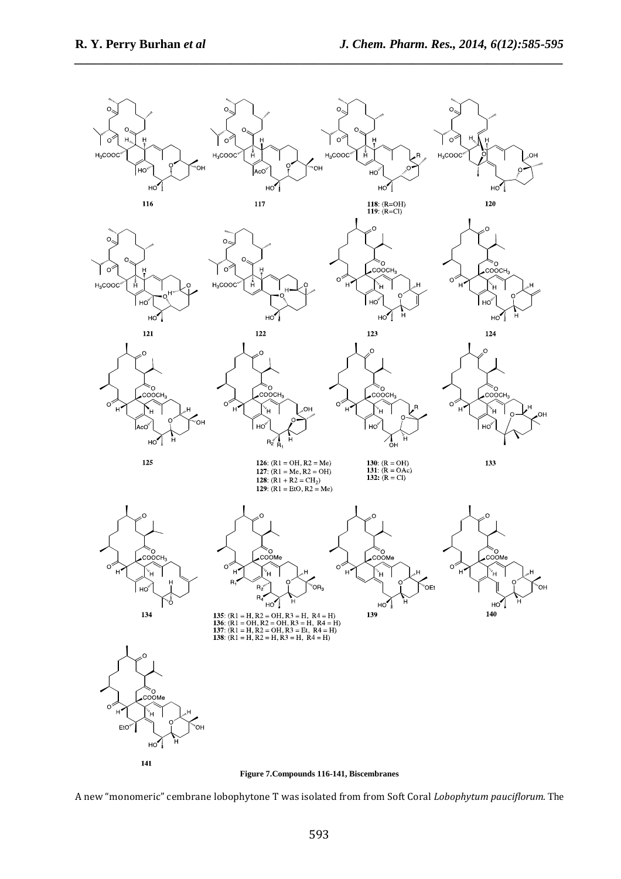

*\_\_\_\_\_\_\_\_\_\_\_\_\_\_\_\_\_\_\_\_\_\_\_\_\_\_\_\_\_\_\_\_\_\_\_\_\_\_\_\_\_\_\_\_\_\_\_\_\_\_\_\_\_\_\_\_\_\_\_\_\_\_\_\_\_\_\_\_\_\_\_\_\_\_\_\_\_\_*

**Figure 7.Compounds 116-141, Biscembranes** 

A new "monomeric" cembrane lobophytone T was isolated from from Soft Coral *Lobophytum pauciflorum.* The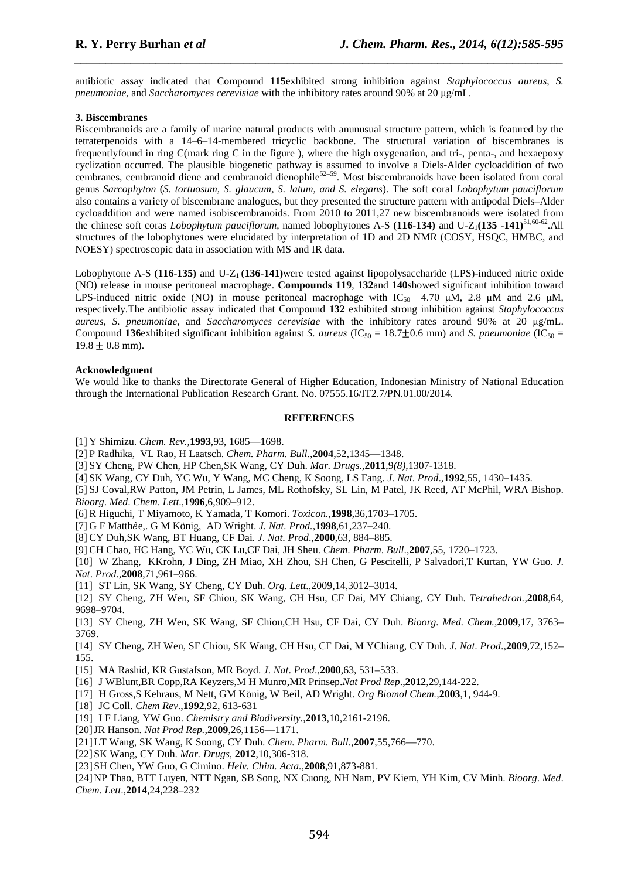antibiotic assay indicated that Compound **115**exhibited strong inhibition against *Staphylococcus aureus*, *S. pneumoniae*, and *Saccharomyces cerevisiae* with the inhibitory rates around 90% at 20 µg/mL.

*\_\_\_\_\_\_\_\_\_\_\_\_\_\_\_\_\_\_\_\_\_\_\_\_\_\_\_\_\_\_\_\_\_\_\_\_\_\_\_\_\_\_\_\_\_\_\_\_\_\_\_\_\_\_\_\_\_\_\_\_\_\_\_\_\_\_\_\_\_\_\_\_\_\_\_\_\_\_*

# **3. Biscembranes**

Biscembranoids are a family of marine natural products with anunusual structure pattern, which is featured by the tetraterpenoids with a 14–6–14-membered tricyclic backbone. The structural variation of biscembranes is frequentlyfound in ring C(mark ring C in the figure ), where the high oxygenation, and tri-, penta-, and hexaepoxy cyclization occurred. The plausible biogenetic pathway is assumed to involve a Diels-Alder cycloaddition of two cembranes, cembranoid diene and cembranoid dienophile<sup>52–59</sup>. Most biscembranoids have been isolated from coral genus *Sarcophyton* (*S. tortuosum, S. glaucum, S. latum, and S. elegans*). The soft coral *Lobophytum pauciflorum*  also contains a variety of biscembrane analogues, but they presented the structure pattern with antipodal Diels–Alder cycloaddition and were named isobiscembranoids. From 2010 to 2011,27 new biscembranoids were isolated from the chinese soft coras *Lobophytum pauciflorum*, named lobophytones A-S (116-134) and U-Z<sub>1</sub>(135 -141)<sup>51,60-62</sup>.All structures of the lobophytones were elucidated by interpretation of 1D and 2D NMR (COSY, HSQC, HMBC, and NOESY) spectroscopic data in association with MS and IR data.

Lobophytone A-S **(116-135)** and U-Z<sub>1</sub> **(136-141)**were tested against lipopolysaccharide (LPS)-induced nitric oxide (NO) release in mouse peritoneal macrophage. **Compounds 119**, **132**and **140**showed significant inhibition toward LPS-induced nitric oxide (NO) in mouse peritoneal macrophage with  $IC_{50}$  4.70  $\mu$ M, 2.8  $\mu$ M and 2.6  $\mu$ M, respectively.The antibiotic assay indicated that Compound **132** exhibited strong inhibition against *Staphylococcus aureus*, *S. pneumoniae*, and *Saccharomyces cerevisiae* with the inhibitory rates around 90% at 20 µg/mL. Compound 136exhibited significant inhibition against *S. aureus* (IC<sub>50</sub> = 18.7 $\pm$ 0.6 mm) and *S. pneumoniae* (IC<sub>50</sub> =  $19.8 \pm 0.8$  mm).

# **Acknowledgment**

We would like to thanks the Directorate General of Higher Education, Indonesian Ministry of National Education through the International Publication Research Grant. No. 07555.16/IT2.7/PN.01.00/2014.

#### **REFERENCES**

- [1] Y Shimizu. *Chem. Rev.,***1993**,93, 1685—1698.
- [2] P Radhika, VL Rao, H Laatsch. *Chem. Pharm. Bull.,***2004**,52,1345—1348.
- [3] SY Cheng, PW Chen, HP Chen,SK Wang, CY Duh. *Mar. Drugs.,***2011**,9*(8)*,1307-1318.
- [4] SK Wang, CY Duh, YC Wu, Y Wang, MC Cheng, K Soong, LS Fang. *J. Nat*. *Prod*.,**1992**,55, 1430–1435.
- [5] SJ Coval,RW Patton, JM Petrin, L James, ML Rothofsky, SL Lin, M Patel, JK Reed, AT McPhil, WRA Bishop. *Bioorg*. *Med*. *Chem*. *Lett*.,**1996**,6,909–912.
- [6] R Higuchi, T Miyamoto, K Yamada, T Komori. *Toxicon.,***1998**,36,1703–1705.
- [7] G F Matth̀e,. G M König, AD Wright. *J. Nat. Prod.,***1998**,61,237–240.
- [8] CY Duh,SK Wang, BT Huang, CF Dai. *J*. *Nat*. *Prod*.,**2000**,63, 884–885.
- [9] CH Chao, HC Hang, YC Wu, CK Lu,CF Dai, JH Sheu. *Chem*. *Pharm*. *Bull*.,**2007**,55, 1720–1723.
- [10] W Zhang, KKrohn, J Ding, ZH Miao, XH Zhou, SH Chen, G Pescitelli, P Salvadori,T Kurtan, YW Guo. *J*. *Nat*. *Prod*.,**2008**,71,961–966.
- [11] ST Lin, SK Wang, SY Cheng, CY Duh. *Org. Lett*.,2009,14,3012–3014.
- [12] SY Cheng, ZH Wen, SF Chiou, SK Wang, CH Hsu, CF Dai, MY Chiang, CY Duh. *Tetrahedron.,***2008**,64, 9698–9704.
- [13] SY Cheng, ZH Wen, SK Wang, SF Chiou,CH Hsu, CF Dai, CY Duh. *Bioorg. Med. Chem.,***2009**,17, 3763– 3769.
- [14] SY Cheng, ZH Wen, SF Chiou, SK Wang, CH Hsu, CF Dai, M YChiang, CY Duh. *J*. *Nat*. *Prod*.,**2009**,72,152– 155.
- [15] MA Rashid, KR Gustafson, MR Boyd. *J*. *Nat*. *Prod*.,**2000**,63, 531–533.
- [16] J WBlunt,BR Copp,RA Keyzers,M H Munro,MR Prinsep.*Nat Prod Rep*.,**2012**,29,144-222.
- [17] H Gross,S Kehraus, M Nett, GM König, W Beil, AD Wright. *Org Biomol Chem.,***2003**,1, 944-9.
- [18] JC Coll. *Chem Rev*.,**1992**,92, 613-631
- [19] LF Liang, YW Guo. *Chemistry and Biodiversity.*,**2013**,10,2161-2196.
- [20]JR Hanson. *Nat Prod Rep.,***2009**,26,1156—1171.
- [21]LT Wang, SK Wang, K Soong, CY Duh. *Chem. Pharm. Bull.,***2007**,55,766—770.
- [22]SK Wang, CY Duh. *Mar. Drugs*, **2012**,10,306-318.
- [23]SH Chen, YW Guo, G Cimino. *Helv. Chim. Acta.,***2008**,91,873-881.

[24]NP Thao, BTT Luyen, NTT Ngan, SB Song, NX Cuong, NH Nam, PV Kiem, YH Kim, CV Minh. *Bioorg*. *Med*. *Chem*. *Lett*.,**2014**,24,228–232